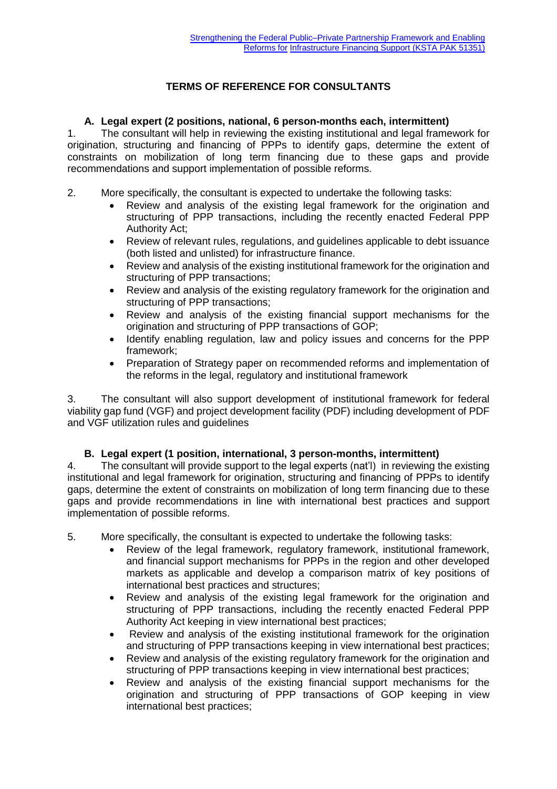# **TERMS OF REFERENCE FOR CONSULTANTS**

#### **A. Legal expert (2 positions, national, 6 person-months each, intermittent)**

1. The consultant will help in reviewing the existing institutional and legal framework for origination, structuring and financing of PPPs to identify gaps, determine the extent of constraints on mobilization of long term financing due to these gaps and provide recommendations and support implementation of possible reforms.

- 2. More specifically, the consultant is expected to undertake the following tasks:
	- Review and analysis of the existing legal framework for the origination and structuring of PPP transactions, including the recently enacted Federal PPP Authority Act;
	- Review of relevant rules, regulations, and guidelines applicable to debt issuance (both listed and unlisted) for infrastructure finance.
	- Review and analysis of the existing institutional framework for the origination and structuring of PPP transactions;
	- Review and analysis of the existing regulatory framework for the origination and structuring of PPP transactions;
	- Review and analysis of the existing financial support mechanisms for the origination and structuring of PPP transactions of GOP;
	- Identify enabling regulation, law and policy issues and concerns for the PPP framework;
	- Preparation of Strategy paper on recommended reforms and implementation of the reforms in the legal, regulatory and institutional framework

3. The consultant will also support development of institutional framework for federal viability gap fund (VGF) and project development facility (PDF) including development of PDF and VGF utilization rules and guidelines

#### **B. Legal expert (1 position, international, 3 person-months, intermittent)**

4. The consultant will provide support to the legal experts (nat'l) in reviewing the existing institutional and legal framework for origination, structuring and financing of PPPs to identify gaps, determine the extent of constraints on mobilization of long term financing due to these gaps and provide recommendations in line with international best practices and support implementation of possible reforms.

- 5. More specifically, the consultant is expected to undertake the following tasks:
	- Review of the legal framework, regulatory framework, institutional framework, and financial support mechanisms for PPPs in the region and other developed markets as applicable and develop a comparison matrix of key positions of international best practices and structures;
	- Review and analysis of the existing legal framework for the origination and structuring of PPP transactions, including the recently enacted Federal PPP Authority Act keeping in view international best practices;
	- Review and analysis of the existing institutional framework for the origination and structuring of PPP transactions keeping in view international best practices;
	- Review and analysis of the existing regulatory framework for the origination and structuring of PPP transactions keeping in view international best practices;
	- Review and analysis of the existing financial support mechanisms for the origination and structuring of PPP transactions of GOP keeping in view international best practices;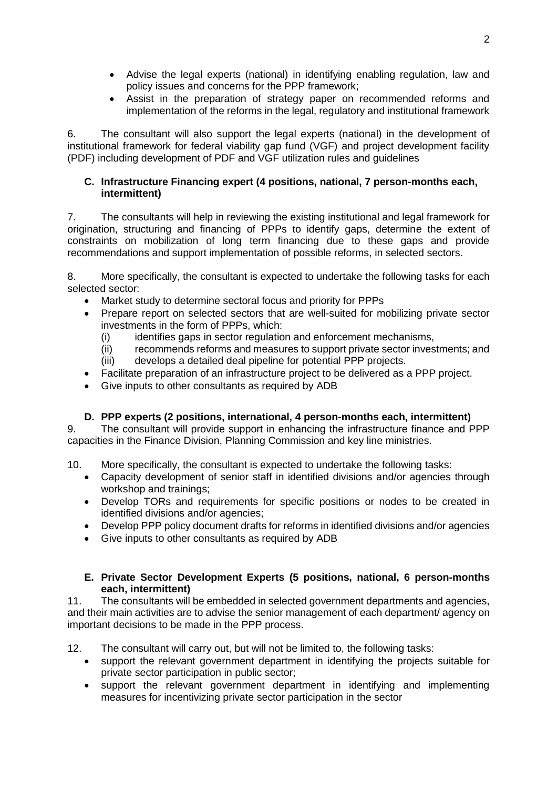- Advise the legal experts (national) in identifying enabling regulation, law and policy issues and concerns for the PPP framework;
- Assist in the preparation of strategy paper on recommended reforms and implementation of the reforms in the legal, regulatory and institutional framework

6. The consultant will also support the legal experts (national) in the development of institutional framework for federal viability gap fund (VGF) and project development facility (PDF) including development of PDF and VGF utilization rules and guidelines

#### **C. Infrastructure Financing expert (4 positions, national, 7 person-months each, intermittent)**

7. The consultants will help in reviewing the existing institutional and legal framework for origination, structuring and financing of PPPs to identify gaps, determine the extent of constraints on mobilization of long term financing due to these gaps and provide recommendations and support implementation of possible reforms, in selected sectors.

8. More specifically, the consultant is expected to undertake the following tasks for each selected sector:

- Market study to determine sectoral focus and priority for PPPs
- Prepare report on selected sectors that are well-suited for mobilizing private sector investments in the form of PPPs, which:
	- (i) identifies gaps in sector regulation and enforcement mechanisms,
	- (ii) recommends reforms and measures to support private sector investments; and (iii) develops a detailed deal pipeline for potential PPP projects.
- Facilitate preparation of an infrastructure project to be delivered as a PPP project.
- Give inputs to other consultants as required by ADB

# **D. PPP experts (2 positions, international, 4 person-months each, intermittent)**

9. The consultant will provide support in enhancing the infrastructure finance and PPP capacities in the Finance Division, Planning Commission and key line ministries.

- 10. More specifically, the consultant is expected to undertake the following tasks:
	- Capacity development of senior staff in identified divisions and/or agencies through workshop and trainings;
	- Develop TORs and requirements for specific positions or nodes to be created in identified divisions and/or agencies;
	- Develop PPP policy document drafts for reforms in identified divisions and/or agencies
	- Give inputs to other consultants as required by ADB

### **E. Private Sector Development Experts (5 positions, national, 6 person-months each, intermittent)**

11. The consultants will be embedded in selected government departments and agencies, and their main activities are to advise the senior management of each department/ agency on important decisions to be made in the PPP process.

12. The consultant will carry out, but will not be limited to, the following tasks:

- support the relevant government department in identifying the projects suitable for private sector participation in public sector;
- support the relevant government department in identifying and implementing measures for incentivizing private sector participation in the sector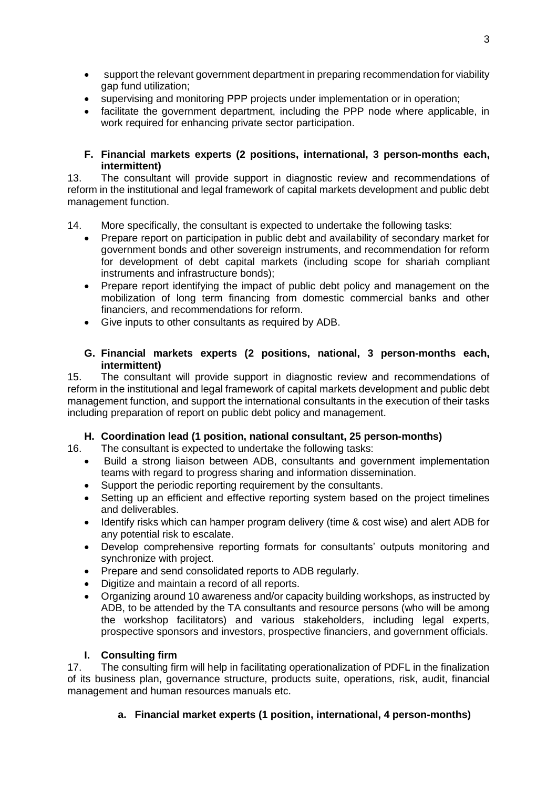- support the relevant government department in preparing recommendation for viability gap fund utilization;
- supervising and monitoring PPP projects under implementation or in operation;<br>• facilitate the government department including the PPP node where applicate
- facilitate the government department, including the PPP node where applicable, in work required for enhancing private sector participation.

### **F. Financial markets experts (2 positions, international, 3 person-months each, intermittent)**

13. The consultant will provide support in diagnostic review and recommendations of reform in the institutional and legal framework of capital markets development and public debt management function.

14. More specifically, the consultant is expected to undertake the following tasks:

- Prepare report on participation in public debt and availability of secondary market for government bonds and other sovereign instruments, and recommendation for reform for development of debt capital markets (including scope for shariah compliant instruments and infrastructure bonds);
- Prepare report identifying the impact of public debt policy and management on the mobilization of long term financing from domestic commercial banks and other financiers, and recommendations for reform.
- Give inputs to other consultants as required by ADB.

### **G. Financial markets experts (2 positions, national, 3 person-months each, intermittent)**

15. The consultant will provide support in diagnostic review and recommendations of reform in the institutional and legal framework of capital markets development and public debt management function, and support the international consultants in the execution of their tasks including preparation of report on public debt policy and management.

# **H. Coordination lead (1 position, national consultant, 25 person-months)**

16. The consultant is expected to undertake the following tasks:

- Build a strong liaison between ADB, consultants and government implementation teams with regard to progress sharing and information dissemination.
- Support the periodic reporting requirement by the consultants.
- Setting up an efficient and effective reporting system based on the project timelines and deliverables.
- Identify risks which can hamper program delivery (time & cost wise) and alert ADB for any potential risk to escalate.
- Develop comprehensive reporting formats for consultants' outputs monitoring and synchronize with project.
- Prepare and send consolidated reports to ADB regularly.
- Digitize and maintain a record of all reports.
- Organizing around 10 awareness and/or capacity building workshops, as instructed by ADB, to be attended by the TA consultants and resource persons (who will be among the workshop facilitators) and various stakeholders, including legal experts, prospective sponsors and investors, prospective financiers, and government officials.

#### **I. Consulting firm**

17. The consulting firm will help in facilitating operationalization of PDFL in the finalization of its business plan, governance structure, products suite, operations, risk, audit, financial management and human resources manuals etc.

# **a. Financial market experts (1 position, international, 4 person-months)**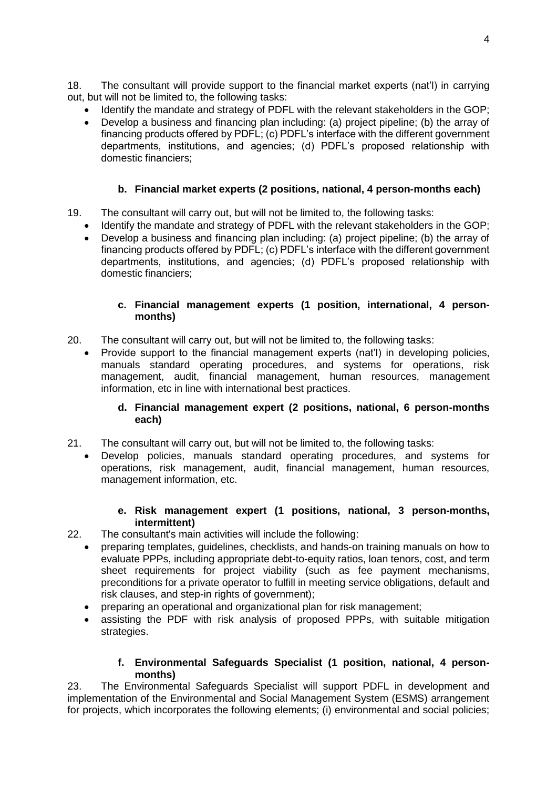18. The consultant will provide support to the financial market experts (nat'l) in carrying out, but will not be limited to, the following tasks:

- Identify the mandate and strategy of PDFL with the relevant stakeholders in the GOP;
- Develop a business and financing plan including: (a) project pipeline; (b) the array of financing products offered by PDFL; (c) PDFL's interface with the different government departments, institutions, and agencies; (d) PDFL's proposed relationship with domestic financiers;

# **b. Financial market experts (2 positions, national, 4 person-months each)**

- 19. The consultant will carry out, but will not be limited to, the following tasks:
	- Identify the mandate and strategy of PDFL with the relevant stakeholders in the GOP;
	- Develop a business and financing plan including: (a) project pipeline; (b) the array of financing products offered by PDFL; (c) PDFL's interface with the different government departments, institutions, and agencies; (d) PDFL's proposed relationship with domestic financiers;

### **c. Financial management experts (1 position, international, 4 personmonths)**

- 20. The consultant will carry out, but will not be limited to, the following tasks:
	- Provide support to the financial management experts (nat'l) in developing policies, manuals standard operating procedures, and systems for operations, risk management, audit, financial management, human resources, management information, etc in line with international best practices.

### **d. Financial management expert (2 positions, national, 6 person-months each)**

- 21. The consultant will carry out, but will not be limited to, the following tasks:
	- Develop policies, manuals standard operating procedures, and systems for operations, risk management, audit, financial management, human resources, management information, etc.

### **e. Risk management expert (1 positions, national, 3 person-months, intermittent)**

- 22. The consultant's main activities will include the following:
	- preparing templates, guidelines, checklists, and hands-on training manuals on how to evaluate PPPs, including appropriate debt-to-equity ratios, loan tenors, cost, and term sheet requirements for project viability (such as fee payment mechanisms, preconditions for a private operator to fulfill in meeting service obligations, default and risk clauses, and step-in rights of government);
	- preparing an operational and organizational plan for risk management;
	- assisting the PDF with risk analysis of proposed PPPs, with suitable mitigation strategies.

#### **f. Environmental Safeguards Specialist (1 position, national, 4 personmonths)**

23. The Environmental Safeguards Specialist will support PDFL in development and implementation of the Environmental and Social Management System (ESMS) arrangement for projects, which incorporates the following elements; (i) environmental and social policies;